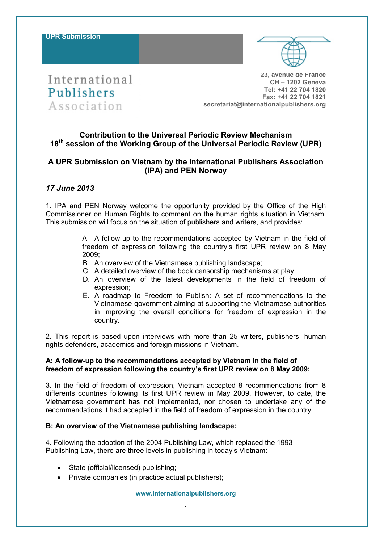



**23, avenue de France CH – 1202 Geneva Tel: +41 22 704 1820 Fax: +41 22 704 1821 secretariat@internationalpublishers.org**

# **Contribution to the Universal Periodic Review Mechanism 18 th session of the Working Group of the Universal Periodic Review (UPR)**

## **A UPR Submission on Vietnam by the International Publishers Association (IPA) and PEN Norway**

# *17 June 2013*

1. IPA and PEN Norway welcome the opportunity provided by the Office of the High Commissioner on Human Rights to comment on the human rights situation in Vietnam. This submission will focus on the situation of publishers and writers, and provides:

> A. A follow-up to the recommendations accepted by Vietnam in the field of freedom of expression following the country's first UPR review on 8 May 2009;

- B. An overview of the Vietnamese publishing landscape;
- C. A detailed overview of the book censorship mechanisms at play;
- D. An overview of the latest developments in the field of freedom of expression;
- E. A roadmap to Freedom to Publish: A set of recommendations to the Vietnamese government aiming at supporting the Vietnamese authorities in improving the overall conditions for freedom of expression in the country.

2. This report is based upon interviews with more than 25 writers, publishers, human rights defenders, academics and foreign missions in Vietnam.

## **A: A follow-up to the recommendations accepted by Vietnam in the field of freedom of expression following the country's first UPR review on 8 May 2009:**

3. In the field of freedom of expression, Vietnam accepted 8 recommendations from 8 differents countries following its first UPR review in May 2009. However, to date, the Vietnamese government has not implemented, nor chosen to undertake any of the recommendations it had accepted in the field of freedom of expression in the country.

### **B: An overview of the Vietnamese publishing landscape:**

4. Following the adoption of the 2004 Publishing Law, which replaced the 1993 Publishing Law, there are three levels in publishing in today's Vietnam:

- State (official/licensed) publishing;
- Private companies (in practice actual publishers);

**[www.internationalpublishers.org](http://www.internationalpublishers.org/)**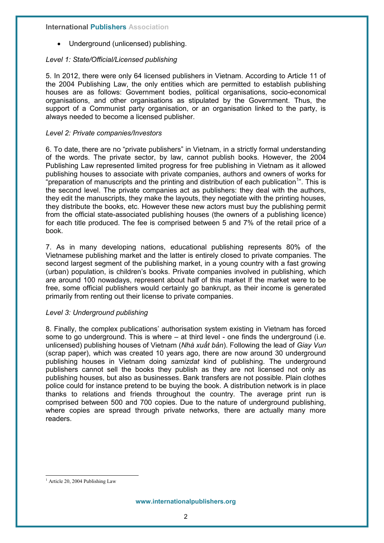Underground (unlicensed) publishing.

## *Level 1: State/Official/Licensed publishing*

5. In 2012, there were only 64 licensed publishers in Vietnam. According to Article 11 of the 2004 Publishing Law, the only entities which are permitted to establish publishing houses are as follows: Government bodies, political organisations, socio-economical organisations, and other organisations as stipulated by the Government. Thus, the support of a Communist party organisation, or an organisation linked to the party, is always needed to become a licensed publisher.

## *Level 2: Private companies/Investors*

6. To date, there are no "private publishers" in Vietnam, in a strictly formal understanding of the words. The private sector, by law, cannot publish books. However, the 2004 Publishing Law represented limited progress for free publishing in Vietnam as it allowed publishing houses to associate with private companies, authors and owners of works for "preparation of manuscripts and the printing and distribution of each publication<sup>1</sup>". This is the second level. The private companies act as publishers: they deal with the authors, they edit the manuscripts, they make the layouts, they negotiate with the printing houses, they distribute the books, etc. However these new actors must buy the publishing permit from the official state-associated publishing houses (the owners of a publishing licence) for each title produced. The fee is comprised between 5 and 7% of the retail price of a book.

7. As in many developing nations, educational publishing represents 80% of the Vietnamese publishing market and the latter is entirely closed to private companies. The second largest segment of the publishing market, in a young country with a fast growing (urban) population, is children's books. Private companies involved in publishing, which are around 100 nowadays, represent about half of this market If the market were to be free, some official publishers would certainly go bankrupt, as their income is generated primarily from renting out their license to private companies.

# *Level 3: Underground publishing*

8. Finally, the complex publications' authorisation system existing in Vietnam has forced some to go underground. This is where – at third level - one finds the underground (i.e. unlicensed) publishing houses of Vietnam (*Nhà xuất bản*). Following the lead of *Giay Vun* (scrap paper), which was created 10 years ago, there are now around 30 underground publishing houses in Vietnam doing *samizdat* kind of publishing. The underground publishers cannot sell the books they publish as they are not licensed not only as publishing houses, but also as businesses. Bank transfers are not possible. Plain clothes police could for instance pretend to be buying the book. A distribution network is in place thanks to relations and friends throughout the country. The average print run is comprised between 500 and 700 copies. Due to the nature of underground publishing, where copies are spread through private networks, there are actually many more readers.

 <sup>1</sup> Article 20, 2004 Publishing Law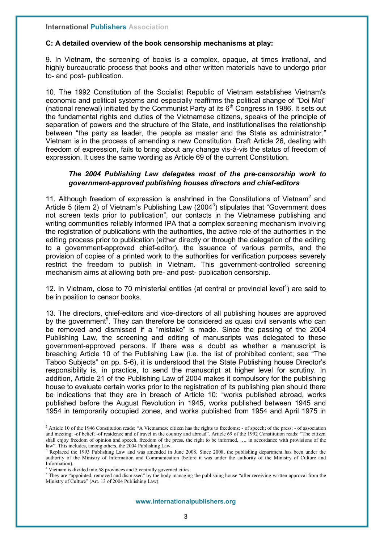#### **C: A detailed overview of the book censorship mechanisms at play:**

9. In Vietnam, the screening of books is a complex, opaque, at times irrational, and highly bureaucratic process that books and other written materials have to undergo prior to- and post- publication.

10. The 1992 Constitution of the Socialist Republic of Vietnam establishes Vietnam's economic and political systems and especially reaffirms the political change of "Doi Moi" (national renewal) initiated by the Communist Party at its  $6<sup>th</sup>$  Congress in 1986. It sets out the fundamental rights and duties of the Vietnamese citizens, speaks of the principle of separation of powers and the structure of the State, and institutionalises the relationship between "the party as leader, the people as master and the State as administrator." Vietnam is in the process of amending a new Constitution. Draft Article 26, dealing with freedom of expression, fails to bring about any change vis-à-vis the status of freedom of expression. It uses the same wording as Article 69 of the current Constitution.

## *The 2004 Publishing Law delegates most of the pre-censorship work to government-approved publishing houses directors and chief-editors*

11. Although freedom of expression is enshrined in the Constitutions of Vietnam $2$  and Article 5 (item 2) of Vietnam's Publishing Law (2004<sup>3</sup>) stipulates that "Government does not screen texts prior to publication", our contacts in the Vietnamese publishing and writing communities reliably informed IPA that a complex screening mechanism involving the registration of publications with the authorities, the active role of the authorities in the editing process prior to publication (either directly or through the delegation of the editing to a government-approved chief-editor), the issuance of various permits, and the provision of copies of a printed work to the authorities for verification purposes severely restrict the freedom to publish in Vietnam. This government-controlled screening mechanism aims at allowing both pre- and post- publication censorship.

12. In Vietnam, close to 70 ministerial entities (at central or provincial level<sup>4</sup>) are said to be in position to censor books.

13. The directors, chief-editors and vice-directors of all publishing houses are approved by the government<sup>5</sup>. They can therefore be considered as quasi civil servants who can be removed and dismissed if a "mistake" is made. Since the passing of the 2004 Publishing Law, the screening and editing of manuscripts was delegated to these government-approved persons. If there was a doubt as whether a manuscript is breaching Article 10 of the Publishing Law (i.e. the list of prohibited content; see "The Taboo Subjects" on pp. 5-6), it is understood that the State Publishing house Director's responsibility is, in practice, to send the manuscript at higher level for scrutiny. In addition, Article 21 of the Publishing Law of 2004 makes it compulsory for the publishing house to evaluate certain works prior to the registration of its publishing plan should there be indications that they are in breach of Article 10: "works published abroad, works published before the August Revolution in 1945, works published between 1945 and 1954 in temporarily occupied zones, and works published from 1954 and April 1975 in

<sup>&</sup>lt;sup>2</sup> Article 10 of the 1946 Constitution reads: "A Vietnamese citizen has the rights to freedoms: - of speech; of the press; - of association and meeting; -of belief; -of residence and of travel in the country and abroad". Article 69 of the 1992 Constitution reads: "The citizen shall enjoy freedom of opinion and speech, freedom of the press, the right to be informed, …, in accordance with provisions of the law". This includes, among others, the 2004 Publishing Law.

<sup>&</sup>lt;sup>3</sup> Replaced the 1993 Publishing Law and was amended in June 2008. Since 2008, the publishing department has been under the authority of the Ministry of Information and Communication (before it was under the authority of the Ministry of Culture and Information).

Vietnam is divided into 58 provinces and 5 centrally governed cities.

<sup>&</sup>lt;sup>5</sup> They are "appointed, removed and dismissed" by the body managing the publishing house "after receiving written approval from the Ministry of Culture" (Art. 13 of 2004 Publishing Law).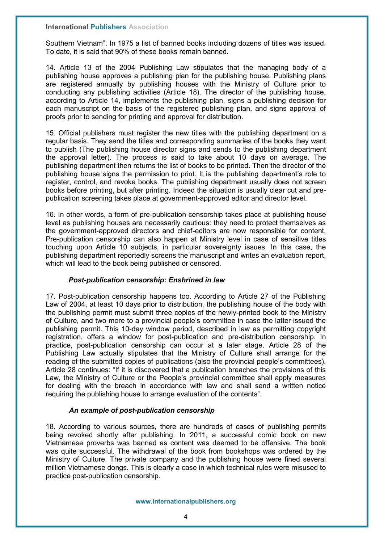Southern Vietnam". In 1975 a list of banned books including dozens of titles was issued. To date, it is said that 90% of these books remain banned.

14. Article 13 of the 2004 Publishing Law stipulates that the managing body of a publishing house approves a publishing plan for the publishing house. Publishing plans are registered annually by publishing houses with the Ministry of Culture prior to conducting any publishing activities (Article 18). The director of the publishing house, according to Article 14, implements the publishing plan, signs a publishing decision for each manuscript on the basis of the registered publishing plan, and signs approval of proofs prior to sending for printing and approval for distribution.

15. Official publishers must register the new titles with the publishing department on a regular basis. They send the titles and corresponding summaries of the books they want to publish (The publishing house director signs and sends to the publishing department the approval letter). The process is said to take about 10 days on average. The publishing department then returns the list of books to be printed. Then the director of the publishing house signs the permission to print. It is the publishing department's role to register, control, and revoke books. The publishing department usually does not screen books before printing, but after printing. Indeed the situation is usually clear cut and prepublication screening takes place at government-approved editor and director level.

16. In other words, a form of pre-publication censorship takes place at publishing house level as publishing houses are necessarily cautious: they need to protect themselves as the government-approved directors and chief-editors are now responsible for content. Pre-publication censorship can also happen at Ministry level in case of sensitive titles touching upon Article 10 subjects, in particular sovereignty issues. In this case, the publishing department reportedly screens the manuscript and writes an evaluation report, which will lead to the book being published or censored.

### *Post-publication censorship: Enshrined in law*

17. Post-publication censorship happens too. According to Article 27 of the Publishing Law of 2004, at least 10 days prior to distribution, the publishing house of the body with the publishing permit must submit three copies of the newly-printed book to the Ministry of Culture, and two more to a provincial people's committee in case the latter issued the publishing permit. This 10-day window period, described in law as permitting copyright registration, offers a window for post-publication and pre-distribution censorship. In practice, post-publication censorship can occur at a later stage. Article 28 of the Publishing Law actually stipulates that the Ministry of Culture shall arrange for the reading of the submitted copies of publications (also the provincial people's committees). Article 28 continues: "If it is discovered that a publication breaches the provisions of this Law, the Ministry of Culture or the People's provincial committee shall apply measures for dealing with the breach in accordance with law and shall send a written notice requiring the publishing house to arrange evaluation of the contents".

### *An example of post-publication censorship*

18. According to various sources, there are hundreds of cases of publishing permits being revoked shortly after publishing. In 2011, a successful comic book on new Vietnamese proverbs was banned as content was deemed to be offensive. The book was quite successful. The withdrawal of the book from bookshops was ordered by the Ministry of Culture. The private company and the publishing house were fined several million Vietnamese dongs. This is clearly a case in which technical rules were misused to practice post-publication censorship.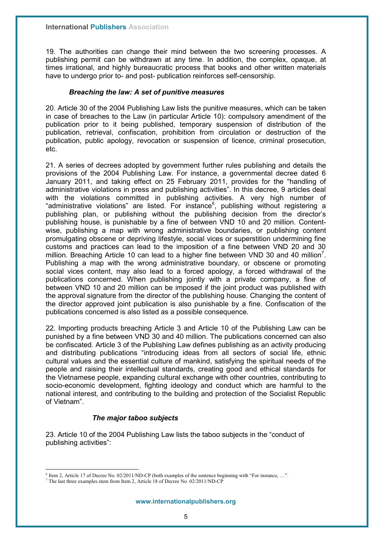19. The authorities can change their mind between the two screening processes. A publishing permit can be withdrawn at any time. In addition, the complex, opaque, at times irrational, and highly bureaucratic process that books and other written materials have to undergo prior to- and post- publication reinforces self-censorship.

## *Breaching the law: A set of punitive measures*

20. Article 30 of the 2004 Publishing Law lists the punitive measures, which can be taken in case of breaches to the Law (in particular Article 10): compulsory amendment of the publication prior to it being published, temporary suspension of distribution of the publication, retrieval, confiscation, prohibition from circulation or destruction of the publication, public apology, revocation or suspension of licence, criminal prosecution, etc.

21. A series of decrees adopted by government further rules publishing and details the provisions of the 2004 Publishing Law. For instance, a governmental decree dated 6 January 2011, and taking effect on 25 February 2011, provides for the "handling of administrative violations in press and publishing activities". In this decree, 9 articles deal with the violations committed in publishing activities. A very high number of "administrative violations" are listed. For instance<sup>6</sup>, publishing without registering a publishing plan, or publishing without the publishing decision from the director's publishing house, is punishable by a fine of between VND 10 and 20 million. Contentwise, publishing a map with wrong administrative boundaries, or publishing content promulgating obscene or depriving lifestyle, social vices or superstition undermining fine customs and practices can lead to the imposition of a fine between VND 20 and 30 million. Breaching Article 10 can lead to a higher fine between VND 30 and 40 million<sup>7</sup>. Publishing a map with the wrong administrative boundary, or obscene or promoting social vices content, may also lead to a forced apology, a forced withdrawal of the publications concerned. When publishing jointly with a private company, a fine of between VND 10 and 20 million can be imposed if the joint product was published with the approval signature from the director of the publishing house. Changing the content of the director approved joint publication is also punishable by a fine. Confiscation of the publications concerned is also listed as a possible consequence.

22. Importing products breaching Article 3 and Article 10 of the Publishing Law can be punished by a fine between VND 30 and 40 million. The publications concerned can also be confiscated. Article 3 of the Publishing Law defines publishing as an activity producing and distributing publications "introducing ideas from all sectors of social life, ethnic cultural values and the essential culture of mankind, satisfying the spiritual needs of the people and raising their intellectual standards, creating good and ethical standards for the Vietnamese people, expanding cultural exchange with other countries, contributing to socio-economic development, fighting ideology and conduct which are harmful to the national interest, and contributing to the building and protection of the Socialist Republic of Vietnam".

## *The major taboo subjects*

23. Article 10 of the 2004 Publishing Law lists the taboo subjects in the "conduct of publishing activities":

 $\overline{a}$ <sup>6</sup> Item 2, Article 17 of Decree No. 02/2011/ND-CP (both examples of the sentence beginning with "For instance, ...".

<sup>7</sup> The last three examples stem from Item 2, Article 18 of Decree No. 02/2011/ND-CP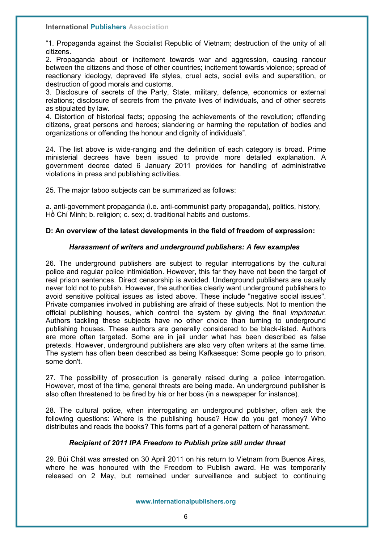"1. Propaganda against the Socialist Republic of Vietnam; destruction of the unity of all citizens.

2. Propaganda about or incitement towards war and aggression, causing rancour between the citizens and those of other countries; incitement towards violence; spread of reactionary ideology, depraved life styles, cruel acts, social evils and superstition, or destruction of good morals and customs.

3. Disclosure of secrets of the Party, State, military, defence, economics or external relations; disclosure of secrets from the private lives of individuals, and of other secrets as stipulated by law.

4. Distortion of historical facts; opposing the achievements of the revolution; offending citizens, great persons and heroes; slandering or harming the reputation of bodies and organizations or offending the honour and dignity of individuals".

24. The list above is wide-ranging and the definition of each category is broad. Prime ministerial decrees have been issued to provide more detailed explanation. A government decree dated 6 January 2011 provides for handling of administrative violations in press and publishing activities.

25. The major taboo subjects can be summarized as follows:

a. anti-government propaganda (i.e. anti-communist party propaganda), politics, history, Hồ Chí Minh; b. religion; c. sex; d. traditional habits and customs.

## **D: An overview of the latest developments in the field of freedom of expression:**

## *Harassment of writers and underground publishers: A few examples*

26. The underground publishers are subject to regular interrogations by the cultural police and regular police intimidation. However, this far they have not been the target of real prison sentences. Direct censorship is avoided. Underground publishers are usually never told not to publish. However, the authorities clearly want underground publishers to avoid sensitive political issues as listed above. These include "negative social issues". Private companies involved in publishing are afraid of these subjects. Not to mention the official publishing houses, which control the system by giving the final *imprimatur*. Authors tackling these subjects have no other choice than turning to underground publishing houses. These authors are generally considered to be black-listed. Authors are more often targeted. Some are in jail under what has been described as false pretexts. However, underground publishers are also very often writers at the same time. The system has often been described as being Kafkaesque: Some people go to prison, some don't.

27. The possibility of prosecution is generally raised during a police interrogation. However, most of the time, general threats are being made. An underground publisher is also often threatened to be fired by his or her boss (in a newspaper for instance).

28. The cultural police, when interrogating an underground publisher, often ask the following questions: Where is the publishing house? How do you get money? Who distributes and reads the books? This forms part of a general pattern of harassment.

## *Recipient of 2011 IPA Freedom to Publish prize still under threat*

29. Bùi Chát was arrested on 30 April 2011 on his return to Vietnam from Buenos Aires, where he was honoured with the Freedom to Publish award. He was temporarily released on 2 May, but remained under surveillance and subject to continuing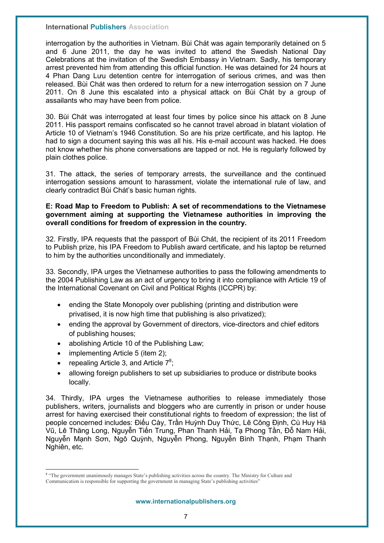interrogation by the authorities in Vietnam. Bùi Chát was again temporarily detained on 5 and 6 June 2011, the day he was invited to attend the Swedish National Day Celebrations at the invitation of the Swedish Embassy in Vietnam. Sadly, his temporary arrest prevented him from attending this official function. He was detained for 24 hours at 4 Phan Dang Lưu detention centre for interrogation of serious crimes, and was then released. Bùi Chát was then ordered to return for a new interrogation session on 7 June 2011. On 8 June this escalated into a physical attack on Bùi Chát by a group of assailants who may have been from police.

30. Bùi Chát was interrogated at least four times by police since his attack on 8 June 2011. His passport remains confiscated so he cannot travel abroad in blatant violation of Article 10 of Vietnam's 1946 Constitution. So are his prize certificate, and his laptop. He had to sign a document saying this was all his. His e-mail account was hacked. He does not know whether his phone conversations are tapped or not. He is regularly followed by plain clothes police.

31. The attack, the series of temporary arrests, the surveillance and the continued interrogation sessions amount to harassment, violate the international rule of law, and clearly contradict Bùi Chát's basic human rights.

### **E: Road Map to Freedom to Publish: A set of recommendations to the Vietnamese government aiming at supporting the Vietnamese authorities in improving the overall conditions for freedom of expression in the country.**

32. Firstly, IPA requests that the passport of Bùi Chát, the recipient of its 2011 Freedom to Publish prize, his IPA Freedom to Publish award certificate, and his laptop be returned to him by the authorities unconditionally and immediately.

33. Secondly, IPA urges the Vietnamese authorities to pass the following amendments to the 2004 Publishing Law as an act of urgency to bring it into compliance with Article 19 of the International Covenant on Civil and Political Rights (ICCPR) by:

- ending the State Monopoly over publishing (printing and distribution were privatised, it is now high time that publishing is also privatized);
- ending the approval by Government of directors, vice-directors and chief editors of publishing houses;
- abolishing Article 10 of the Publishing Law;
- implementing Article 5 (item 2);

 $\overline{a}$ 

- repealing Article 3, and Article  $7^8$ ;
- allowing foreign publishers to set up subsidiaries to produce or distribute books locally.

34. Thirdly, IPA urges the Vietnamese authorities to release immediately those publishers, writers, journalists and bloggers who are currently in prison or under house arrest for having exercised their constitutional rights to freedom of expression; the list of people concerned includes: Điếu Cày, Trần Huỳnh Duy Thức, Lê Công Định, Cù Huy Hà Vũ, Lê Thăng Long, Nguyễn Tiến Trung, Phan Thanh Hải, Tạ Phong Tần, Đỗ Nam Hải, Nguyễn Mạnh Sơn, Ngô Quỳnh, Nguyễn Phong, Nguyễn Bình Thạnh, Phạm Thanh Nghiên, etc.

<sup>&</sup>lt;sup>8</sup> "The government unanimously manages State's publishing activities across the country. The Ministry for Culture and Communication is responsible for supporting the government in managing State's publishing activities"